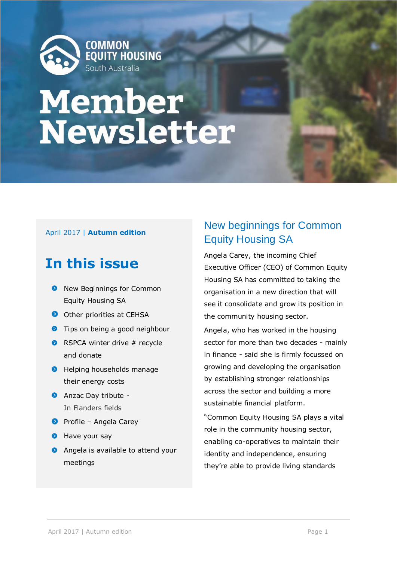

# **Member<br>Newsletter**

## April 2017 | **Autumn edition**

# **In this issue**

- **8** New Beginnings for Common Equity Housing SA
- Other priorities at CEHSA
- **O** Tips on being a good neighbour
- $\bullet$  RSPCA winter drive # recycle and donate
- **O** Helping households manage their energy costs
- **Anzac Day tribute -**In Flanders fields
- **P** Profile Angela Carey
- **D** Have your say
- **Angela is available to attend your** meetings

# New beginnings for Common Equity Housing SA

Angela Carey, the incoming Chief Executive Officer (CEO) of Common Equity Housing SA has committed to taking the organisation in a new direction that will see it consolidate and grow its position in the community housing sector.

Angela, who has worked in the housing sector for more than two decades - mainly in finance - said she is firmly focussed on growing and developing the organisation by establishing stronger relationships across the sector and building a more sustainable financial platform.

"Common Equity Housing SA plays a vital role in the community housing sector, enabling co-operatives to maintain their identity and independence, ensuring they're able to provide living standards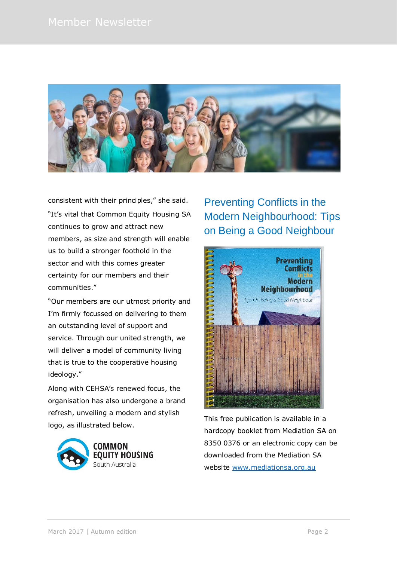

consistent with their principles," she said. "It's vital that Common Equity Housing SA continues to grow and attract new members, as size and strength will enable us to build a stronger foothold in the sector and with this comes greater certainty for our members and their communities."

"Our members are our utmost priority and I'm firmly focussed on delivering to them an outstanding level of support and service. Through our united strength, we will deliver a model of community living that is true to the cooperative housing ideology."

Along with CEHSA's renewed focus, the organisation has also undergone a brand refresh, unveiling a modern and stylish logo, as illustrated below.



Preventing Conflicts in the Modern Neighbourhood: Tips on Being a Good Neighbour



This free publication is available in a hardcopy booklet from Mediation SA on 8350 0376 or an electronic copy can be downloaded from the Mediation SA website [www.mediationsa.org.au](http://www.mediationsa.org.au/)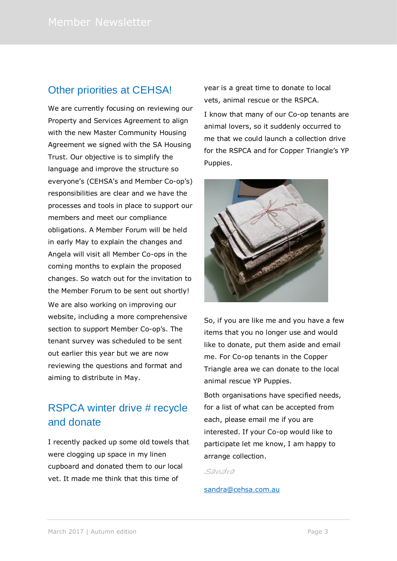# Other priorities at CEHSA!

We are currently focusing on reviewing our Property and Services Agreement to align with the new Master Community Housing Agreement we signed with the SA Housing Trust. Our objective is to simplify the language and improve the structure so everyone's (CEHSA's and Member Co-op's) responsibilities are clear and we have the processes and tools in place to support our members and meet our compliance obligations. A Member Forum will be held in early May to explain the changes and Angela will visit all Member Co-ops in the coming months to explain the proposed changes. So watch out for the invitation to the Member Forum to be sent out shortly! We are also working on improving our website, including a more comprehensive section to support Member Co-op's. The tenant survey was scheduled to be sent out earlier this year but we are now reviewing the questions and format and aiming to distribute in May.

# RSPCA winter drive # recycle and donate

I recently packed up some old towels that were clogging up space in my linen cupboard and donated them to our local vet. It made me think that this time of

year is a great time to donate to local vets, animal rescue or the RSPCA.

I know that many of our Co-op tenants are animal lovers, so it suddenly occurred to me that we could launch a collection drive for the RSPCA and for Copper Triangle's YP Puppies.



So, if you are like me and you have a few items that you no longer use and would like to donate, put them aside and email me. For Co-op tenants in the Copper Triangle area we can donate to the local animal rescue YP Puppies.

Both organisations have specified needs, for a list of what can be accepted from each, please email me if you are interested. If your Co-op would like to participate let me know, I am happy to arrange collection.

Sandra

### [sandra@cehsa.com.au](mailto:sandra@cehsa.com.au)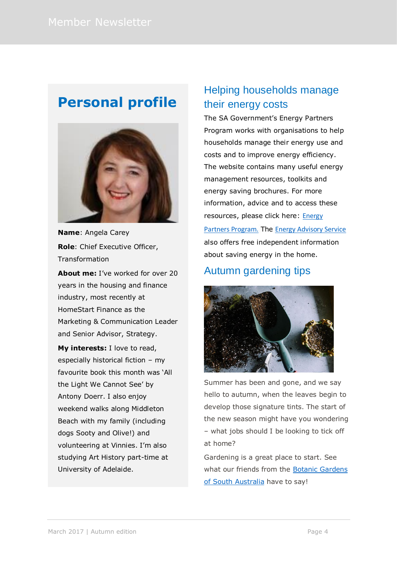# **Personal profile**



**Name**: Angela Carey **Role**: Chief Executive Officer, Transformation

**About me:** I've worked for over 20 years in the housing and finance industry, most recently at HomeStart Finance as the Marketing & Communication Leader and Senior Advisor, Strategy.

**My interests:** I love to read, especially historical fiction – my favourite book this month was 'All the Light We Cannot See' by Antony Doerr. I also enjoy weekend walks along Middleton Beach with my family (including dogs Sooty and Olive!) and volunteering at Vinnies. I'm also studying Art History part-time at University of Adelaide.

# Helping households manage their energy costs

The SA Government's Energy Partners Program works with organisations to help households manage their energy use and costs and to improve energy efficiency. The website contains many useful energy management resources, toolkits and energy saving brochures. For more information, advice and to access these resources, please click here: Energy [Partners Program.](http://www.sa.gov.au/topics/water-energy-and-environment/energy/saving-energy-at-home/assistance-for-organisations-that-work-with-households/resources-for-energy-partners-organisations/partner-materials-and-publications) The [Energy Advisory Service](http://www.sa.gov.au/topics/water-energy-and-environment/energy/saving-energy-at-home/check-and-reduce-your-energy-use/energy-advisory-service) also offers free independent information about saving energy in the home.

# Autumn gardening tips



Summer has been and gone, and we say hello to autumn, when the leaves begin to develop those signature tints. The start of the new season might have you wondering – what jobs should I be looking to tick off at home?

Gardening is a great place to start. See what our friends from the **Botanic Gardens** [of South Australia](http://www.environment.sa.gov.au/botanicgardens/blogs/around-the-gardens/autumn-gardening-tips) have to say!